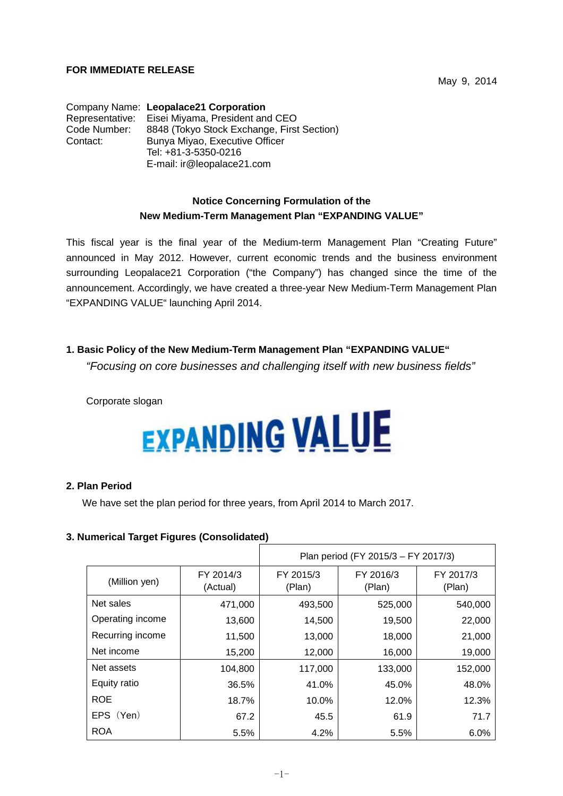### **FOR IMMEDIATE RELEASE**

Company Name: **Leopalace21 Corporation** Representative: Eisei Miyama, President and CEO Code Number: 8848 (Tokyo Stock Exchange, First Section) Contact: Bunya Miyao, Executive Officer Tel: +81-3-5350-0216 E-mail: ir@leopalace21.com

# **Notice Concerning Formulation of the New Medium-Term Management Plan "EXPANDING VALUE"**

This fiscal year is the final year of the Medium-term Management Plan "Creating Future" announced in May 2012. However, current economic trends and the business environment surrounding Leopalace21 Corporation ("the Company") has changed since the time of the announcement. Accordingly, we have created a three-year New Medium-Term Management Plan "EXPANDING VALUE" launching April 2014.

# **1. Basic Policy of the New Medium-Term Management Plan "EXPANDING VALUE"**

*"Focusing on core businesses and challenging itself with new business fields"*

Corporate slogan

# **EXPANDING VALUE**

#### **2. Plan Period**

We have set the plan period for three years, from April 2014 to March 2017.

#### **3. Numerical Target Figures (Consolidated)**

|                  |                       | Plan period (FY 2015/3 - FY 2017/3) |                     |                     |
|------------------|-----------------------|-------------------------------------|---------------------|---------------------|
| (Million yen)    | FY 2014/3<br>(Actual) | FY 2015/3<br>(Plan)                 | FY 2016/3<br>(Plan) | FY 2017/3<br>(Plan) |
| Net sales        | 471,000               | 493,500                             | 525,000             | 540,000             |
| Operating income | 13,600                | 14,500                              | 19,500              | 22,000              |
| Recurring income | 11,500                | 13,000                              | 18,000              | 21,000              |
| Net income       | 15,200                | 12,000                              | 16,000              | 19,000              |
| Net assets       | 104,800               | 117,000                             | 133,000             | 152,000             |
| Equity ratio     | 36.5%                 | 41.0%                               | 45.0%               | 48.0%               |
| <b>ROE</b>       | 18.7%                 | 10.0%                               | 12.0%               | 12.3%               |
| EPS (Yen)        | 67.2                  | 45.5                                | 61.9                | 71.7                |
| <b>ROA</b>       | 5.5%                  | 4.2%                                | 5.5%                | 6.0%                |